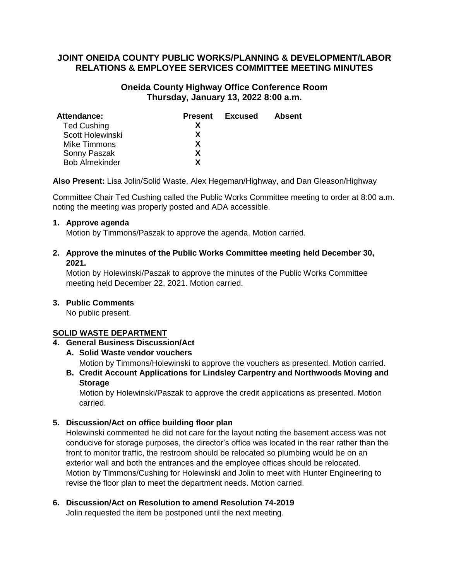# **JOINT ONEIDA COUNTY PUBLIC WORKS/PLANNING & DEVELOPMENT/LABOR RELATIONS & EMPLOYEE SERVICES COMMITTEE MEETING MINUTES**

# **Oneida County Highway Office Conference Room Thursday, January 13, 2022 8:00 a.m.**

| Attendance:           | <b>Present</b> | Excused | Absent |
|-----------------------|----------------|---------|--------|
| <b>Ted Cushing</b>    |                |         |        |
| Scott Holewinski      | x              |         |        |
| Mike Timmons          | x              |         |        |
| Sonny Paszak          | х              |         |        |
| <b>Bob Almekinder</b> | Y              |         |        |

**Also Present:** Lisa Jolin/Solid Waste, Alex Hegeman/Highway, and Dan Gleason/Highway

Committee Chair Ted Cushing called the Public Works Committee meeting to order at 8:00 a.m. noting the meeting was properly posted and ADA accessible.

### **1. Approve agenda**

Motion by Timmons/Paszak to approve the agenda. Motion carried.

# **2. Approve the minutes of the Public Works Committee meeting held December 30, 2021.**

Motion by Holewinski/Paszak to approve the minutes of the Public Works Committee meeting held December 22, 2021. Motion carried.

## **3. Public Comments**

No public present.

## **SOLID WASTE DEPARTMENT**

# **4. General Business Discussion/Act**

**A. Solid Waste vendor vouchers**

Motion by Timmons/Holewinski to approve the vouchers as presented. Motion carried.

**B. Credit Account Applications for Lindsley Carpentry and Northwoods Moving and Storage**

Motion by Holewinski/Paszak to approve the credit applications as presented. Motion carried.

## **5. Discussion/Act on office building floor plan**

Holewinski commented he did not care for the layout noting the basement access was not conducive for storage purposes, the director's office was located in the rear rather than the front to monitor traffic, the restroom should be relocated so plumbing would be on an exterior wall and both the entrances and the employee offices should be relocated. Motion by Timmons/Cushing for Holewinski and Jolin to meet with Hunter Engineering to revise the floor plan to meet the department needs. Motion carried.

#### **6. Discussion/Act on Resolution to amend Resolution 74-2019** Jolin requested the item be postponed until the next meeting.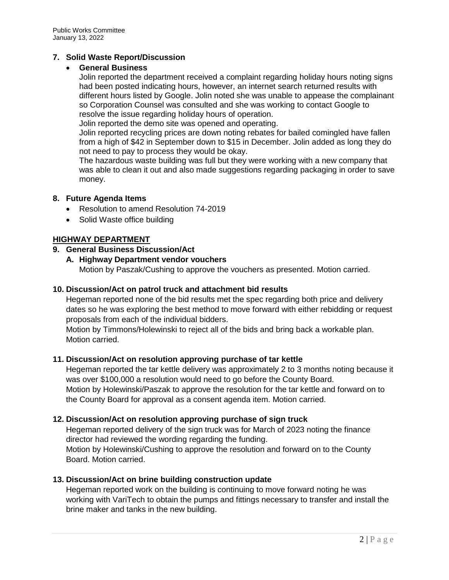# **7. Solid Waste Report/Discussion**

## **General Business**

Jolin reported the department received a complaint regarding holiday hours noting signs had been posted indicating hours, however, an internet search returned results with different hours listed by Google. Jolin noted she was unable to appease the complainant so Corporation Counsel was consulted and she was working to contact Google to resolve the issue regarding holiday hours of operation.

Jolin reported the demo site was opened and operating.

Jolin reported recycling prices are down noting rebates for bailed comingled have fallen from a high of \$42 in September down to \$15 in December. Jolin added as long they do not need to pay to process they would be okay.

The hazardous waste building was full but they were working with a new company that was able to clean it out and also made suggestions regarding packaging in order to save money.

### **8. Future Agenda Items**

- Resolution to amend Resolution 74-2019
- Solid Waste office building

### **HIGHWAY DEPARTMENT**

## **9. General Business Discussion/Act**

**A. Highway Department vendor vouchers**

Motion by Paszak/Cushing to approve the vouchers as presented. Motion carried.

## **10. Discussion/Act on patrol truck and attachment bid results**

Hegeman reported none of the bid results met the spec regarding both price and delivery dates so he was exploring the best method to move forward with either rebidding or request proposals from each of the individual bidders.

Motion by Timmons/Holewinski to reject all of the bids and bring back a workable plan. Motion carried.

#### **11. Discussion/Act on resolution approving purchase of tar kettle**

Hegeman reported the tar kettle delivery was approximately 2 to 3 months noting because it was over \$100,000 a resolution would need to go before the County Board. Motion by Holewinski/Paszak to approve the resolution for the tar kettle and forward on to the County Board for approval as a consent agenda item. Motion carried.

#### **12. Discussion/Act on resolution approving purchase of sign truck**

Hegeman reported delivery of the sign truck was for March of 2023 noting the finance director had reviewed the wording regarding the funding. Motion by Holewinski/Cushing to approve the resolution and forward on to the County Board. Motion carried.

#### **13. Discussion/Act on brine building construction update**

Hegeman reported work on the building is continuing to move forward noting he was working with VariTech to obtain the pumps and fittings necessary to transfer and install the brine maker and tanks in the new building.